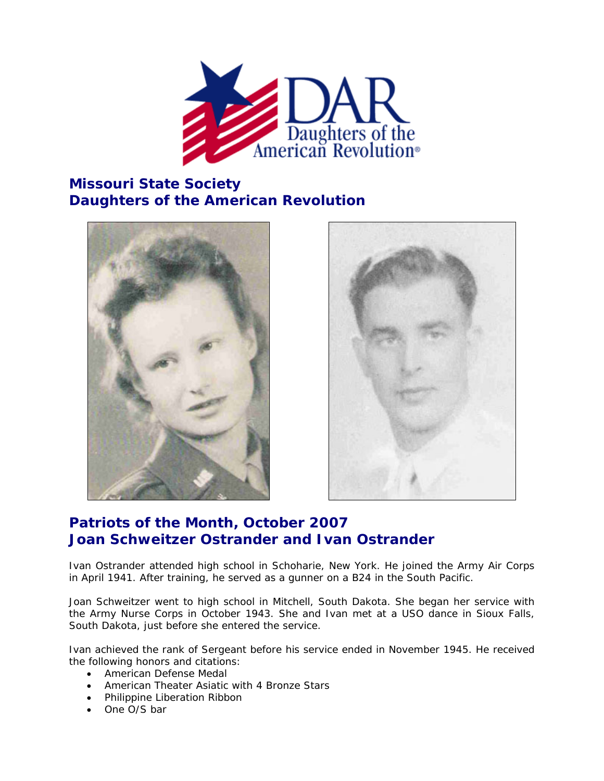

## **Missouri State Society Daughters of the American Revolution**





## **Patriots of the Month, October 2007 Joan Schweitzer Ostrander and Ivan Ostrander**

Ivan Ostrander attended high school in Schoharie, New York. He joined the Army Air Corps in April 1941. After training, he served as a gunner on a B24 in the South Pacific.

Joan Schweitzer went to high school in Mitchell, South Dakota. She began her service with the Army Nurse Corps in October 1943. She and Ivan met at a USO dance in Sioux Falls, South Dakota, just before she entered the service.

Ivan achieved the rank of Sergeant before his service ended in November 1945. He received the following honors and citations:

- American Defense Medal
- American Theater Asiatic with 4 Bronze Stars
- Philippine Liberation Ribbon
- One O/S bar